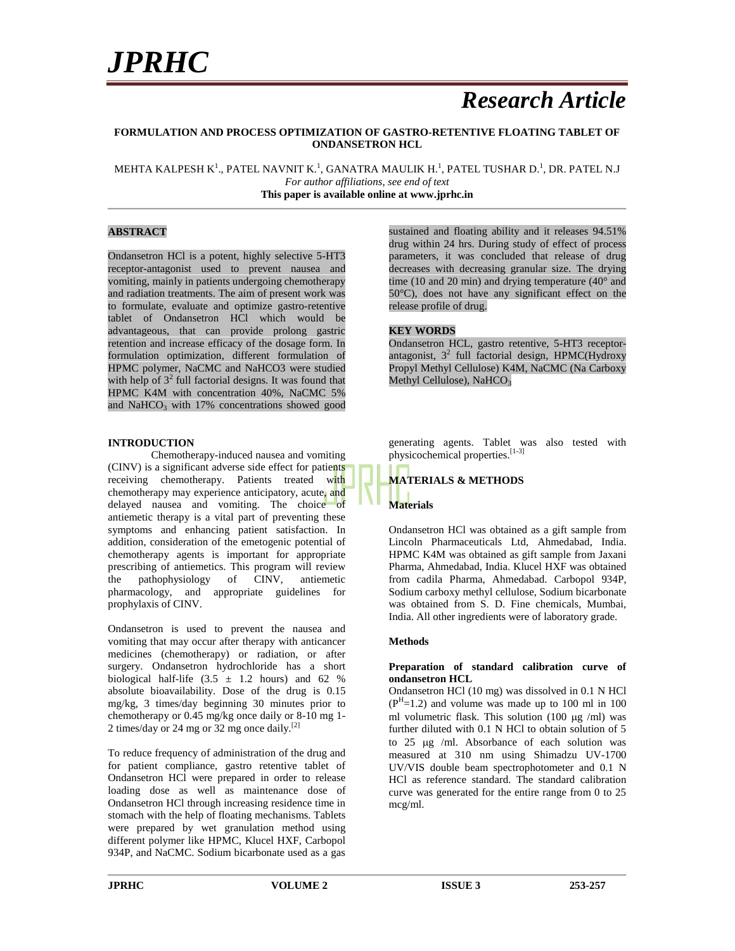### *Research Article*

#### **FORMULATION AND PROCESS OPTIMIZATION OF GASTRO-RETENTIVE FLOATING TABLET OF ONDANSETRON HCL**

MEHTA KALPESH K $^{\rm l}$ ., PATEL NAVNIT K. $^{\rm l}$ , GANATRA MAULIK H. $^{\rm l}$ , PATEL TUSHAR D. $^{\rm l}$ , DR. PATEL N.J *For author affiliations, see end of text* **This paper is available online at www.jprhc.in**

#### **ABSTRACT**

Ondansetron HCl is a potent, highly selective 5-HT3 receptor-antagonist used to prevent nausea and vomiting, mainly in patients undergoing chemotherapy and radiation treatments. The aim of present work was to formulate, evaluate and optimize gastro-retentive tablet of Ondansetron HCl which would be advantageous, that can provide prolong gastric retention and increase efficacy of the dosage form. In formulation optimization, different formulation of HPMC polymer, NaCMC and NaHCO3 were studied with help of  $3<sup>2</sup>$  full factorial designs. It was found that HPMC K4M with concentration 40%, NaCMC 5% and NaHCO<sub>3</sub> with  $17%$  concentrations showed good

#### **INTRODUCTION**

Chemotherapy-induced nausea and vomiting (CINV) is a significant adverse side effect for patients receiving chemotherapy. Patients treated with chemotherapy may experience anticipatory, acute, and delayed nausea and vomiting. The choice of antiemetic therapy is a vital part of preventing these symptoms and enhancing patient satisfaction. In addition, consideration of the emetogenic potential of chemotherapy agents is important for appropriate prescribing of antiemetics. This program will review<br>the pathophysiology of CINV, antiemetic the pathophysiology of CINV, antiemetic pharmacology, and appropriate guidelines for prophylaxis of CINV.

Ondansetron is used to prevent the nausea and vomiting that may occur after therapy with anticancer medicines (chemotherapy) or radiation, or after surgery. Ondansetron hydrochloride has a short biological half-life  $(3.5 \pm 1.2$  hours) and 62 % absolute bioavailability. Dose of the drug is 0.15 mg/kg, 3 times/day beginning 30 minutes prior to chemotherapy or 0.45 mg/kg once daily or 8-10 mg 1- 2 times/day or 24 mg or 32 mg once daily.[2]

To reduce frequency of administration of the drug and for patient compliance, gastro retentive tablet of Ondansetron HCl were prepared in order to release loading dose as well as maintenance dose of Ondansetron HCl through increasing residence time in stomach with the help of floating mechanisms. Tablets were prepared by wet granulation method using different polymer like HPMC, Klucel HXF, Carbopol 934P, and NaCMC. Sodium bicarbonate used as a gas

sustained and floating ability and it releases 94.51% drug within 24 hrs. During study of effect of process parameters, it was concluded that release of drug decreases with decreasing granular size. The drying time (10 and 20 min) and drying temperature (40 $^{\circ}$  and 50°C), does not have any significant effect on the release profile of drug.

#### **KEY WORDS**

Ondansetron HCL, gastro retentive, 5-HT3 receptor antagonist,  $3^2$  full factorial design, HPMC(Hydroxy Propyl Methyl Cellulose) K4M, NaCMC (Na Carboxy Methyl Cellulose), NaHCO<sub>3</sub>

generating agents. Tablet was also tested with physicochemical properties.<sup>[1-3]</sup>

### **MATERIALS & METHODS Materials**

Ondansetron HCl was obtained as a gift sample from Lincoln Pharmaceuticals Ltd, Ahmedabad, India. HPMC K4M was obtained as gift sample from Jaxani Pharma, Ahmedabad, India. Klucel HXF was obtained from cadila Pharma, Ahmedabad. Carbopol 934P, Sodium carboxy methyl cellulose, Sodium bicarbonate was obtained from S. D. Fine chemicals, Mumbai, India. All other ingredients were of laboratory grade.

#### **Methods**

#### **Preparation of standard calibration curve of ondansetron HCL**

Ondansetron HCl (10 mg) was dissolved in 0.1 N HCl  $(P<sup>H</sup>=1.2)$  and volume was made up to 100 ml in 100 ml volumetric flask. This solution  $(100 \text{ µg } / \text{ml})$  was further diluted with 0.1 N HCl to obtain solution of 5 to  $25 \text{ µg}$  /ml. Absorbance of each solution was measured at 310 nm using Shimadzu UV-1700 UV/VIS double beam spectrophotometer and 0.1 N HCl as reference standard. The standard calibration curve was generated for the entire range from 0 to 25 mcg/ml.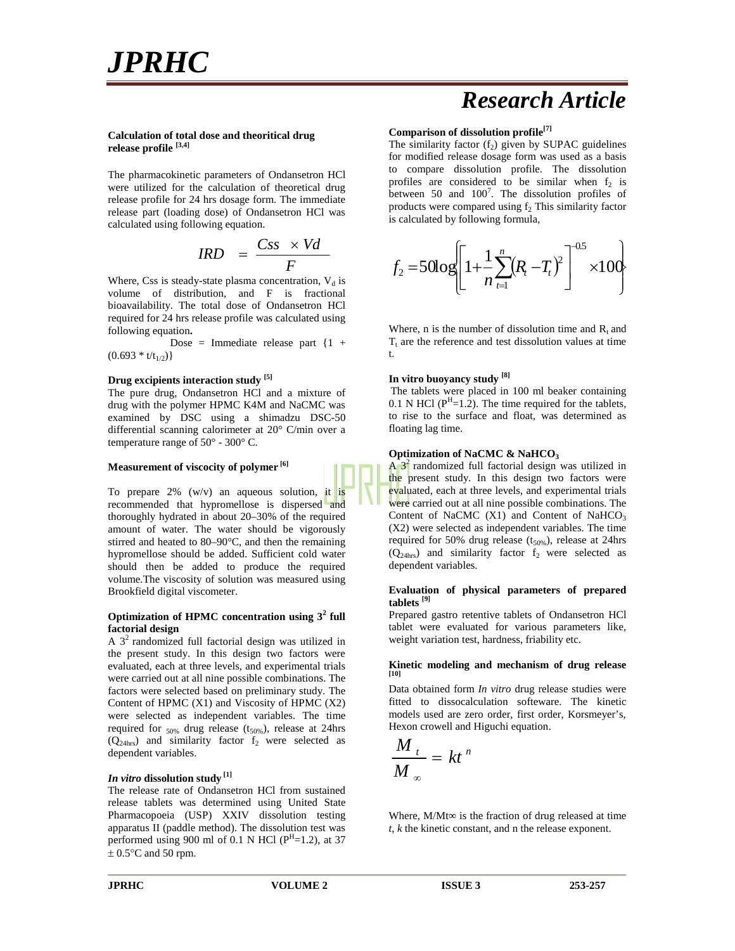### *Research Article*

#### **Calculation of total dose and theoritical drug release profile [3,4]**

The pharmacokinetic parameters of Ondansetron HCl were utilized for the calculation of theoretical drug release profile for 24 hrs dosage form. The immediate release part (loading dose) of Ondansetron HCl was calculated using following equation.

$$
IRD = \frac{Css \times Vd}{F}
$$

Where, Css is steady-state plasma concentration,  $V_d$  is volume of distribution, and F is fractional bioavailability. The total dose of Ondansetron HCl required for 24 hrs release profile was calculated using following equation**.**

Dose = Immediate release part  $\{1 + \}$  $(0.693 * t/t_{1/2})\}$ 

#### **Drug excipients interaction study [5]**

The pure drug, Ondansetron HCl and a mixture of drug with the polymer HPMC K4M and NaCMC was examined by DSC using a shimadzu DSC-50 differential scanning calorimeter at 20° C/min over a temperature range of 50° - 300° C.

#### **Measurement of viscocity of polymer [6]**

To prepare  $2\%$  (w/v) an aqueous solution, it is recommended that hypromellose is dispersed and thoroughly hydrated in about 20–30% of the required amount of water. The water should be vigorously stirred and heated to 80–90°C, and then the remaining hypromellose should be added. Sufficient cold water should then be added to produce the required volume.The viscosity of solution was measured using Brookfield digital viscometer.

#### **Optimization of HPMC concentration using 3<sup>2</sup> full factorial design**

A  $3<sup>2</sup>$  randomized full factorial design was utilized in the present study. In this design two factors were evaluated, each at three levels, and experimental trials were carried out at all nine possible combinations. The factors were selected based on preliminary study. The Content of HPMC  $(X1)$  and Viscosity of HPMC  $(X2)$ were selected as independent variables. The time required for  $_{50\%}$  drug release (t<sub>50%</sub>), release at 24hrs  $(Q<sub>24hrs</sub>)$  and similarity factor  $f<sub>2</sub>$  were selected as dependent variables.

#### *In vitro* **dissolution study [1]**

The release rate of Ondansetron HCl from sustained release tablets was determined using United State Pharmacopoeia (USP) XXIV dissolution testing apparatus II (paddle method). The dissolution test was performed using 900 ml of 0.1 N HCl ( $P^{H}$ =1.2), at 37  $\pm$  0.5°C and 50 rpm.

#### **Comparison of dissolution profile[7]**

The similarity factor  $(f_2)$  given by SUPAC guidelines for modified release dosage form was used as a basis to compare dissolution profile. The dissolution profiles are considered to be similar when  $f_2$  is between 50 and  $100^7$ . The dissolution profiles of products were compared using  $f<sub>2</sub>$ . This similarity factor is calculated by following formula,

$$
IRD = \frac{Css \times Vd}{F}
$$
  
\n<sub>r</sub>-state plasma concentration, V<sub>d</sub> is  
\n*f*<sub>2</sub> = 50log $\left[1 + \frac{1}{n} \sum_{t=1}^{n} (R_t - T_t)^2\right]^{-0.5} \times 100$   
\n<sub>portion, and F is fractional</sub>

Where, n is the number of dissolution time and  $R_t$  and  $T<sub>t</sub>$  are the reference and test dissolution values at time t.

#### **In vitro buoyancy study [8]**

The tablets were placed in 100 ml beaker containing 0.1 N HCl ( $P^{H}$ =1.2). The time required for the tablets, to rise to the surface and float, was determined as floating lag time.

#### **Optimization of NaCMC & NaHCO<sup>3</sup>**

 $\mathbf{A}$   $\mathbf{3}^2$  randomized full factorial design was utilized in the present study. In this design two factors were evaluated, each at three levels, and experimental trials were carried out at all nine possible combinations. The Content of NaCMC  $(X1)$  and Content of NaHCO<sub>3</sub> (X2) were selected as independent variables. The time required for 50% drug release  $(t_{50\%})$ , release at 24hrs  $(Q<sub>24hs</sub>)$  and similarity factor  $f<sub>2</sub>$  were selected as dependent variables.

#### **Evaluation of physical parameters of prepared tablets [9]**

Prepared gastro retentive tablets of Ondansetron HCl tablet were evaluated for various parameters like, weight variation test, hardness, friability etc.

#### **Kinetic modeling and mechanism of drug release [10]**

Data obtained form *In vitro* drug release studies were fitted to dissocalculation softeware. The kinetic models used are zero order, first order, Korsmeyer's, Hexon crowell and Higuchi equation.

$$
\frac{M_{t}}{M_{\infty}} = kt^{n}
$$

Where, M/Mt is the fraction of drug released at time *t*, *k* the kinetic constant, and n the release exponent.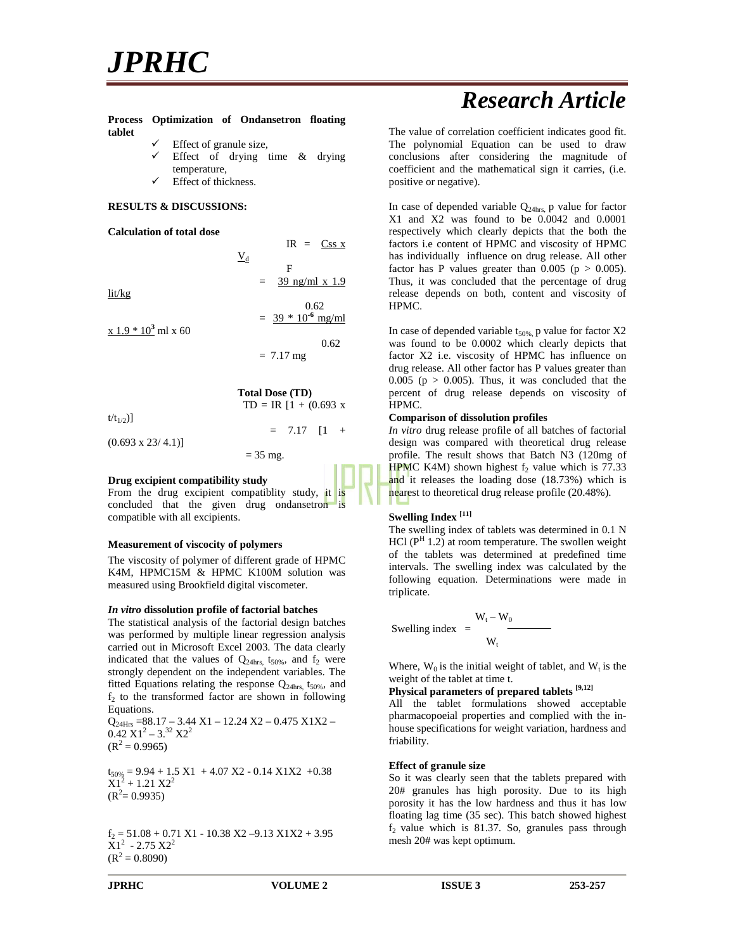# *JPRHC*

#### **Process Optimization of Ondansetron floating tablet**

- Effect of granule size,
- Effect of drying time & drying temperature,

 $\underline{V}_d$ 

Effect of thickness.

#### **RESULTS & DISCUSSIONS:**

#### **Calculation of total dose**

lit/kg

 $x 1.9 * 10^3$  ml  $x 60$ 

 $(0.693 \times 23/4.1)]$ 

 $=$  39 ng/ml x 1.9 0.62  $= 39 * 10^{-6}$  mg/ml 0.62  $= 7.17$  mg

F

 $IR = Css x$ 

|               | <b>Total Dose (TD)</b>    |  |
|---------------|---------------------------|--|
|               | $TD = IR [1 + (0.693 x)]$ |  |
| $t/t_{1/2}$ ] |                           |  |

 $= 7.17$   $[1 +$ 

 $= 35$  mg.

#### **Drug excipient compatibility study**

From the drug excipient compatiblity study, it is concluded that the given drug ondansetron is compatible with all excipients.

#### **Measurement of viscocity of polymers**

The viscosity of polymer of different grade of HPMC K4M, HPMC15M & HPMC K100M solution was measured using Brookfield digital viscometer.

#### *In vitro* **dissolution profile of factorial batches**

The statistical analysis of the factorial design batches was performed by multiple linear regression analysis carried out in Microsoft Excel 2003. The data clearly indicated that the values of  $Q_{24\text{hrs}}$ ,  $t_{50\%}$ , and  $f_2$  were strongly dependent on the independent variables. The fitted Equations relating the response  $Q_{24\text{hrs}}$ ,  $t_{50\%}$ , and  $f_2$  to the transformed factor are shown in following Equations.

 $Q_{24Hrs} = 88.17 - 3.44 \text{ X1} - 12.24 \text{ X2} - 0.475 \text{ X1X2} 0.42$  X1<sup>2</sup> – 3.<sup>32</sup> X2<sup>2</sup>  $(R^2 = 0.9965)$ 

 $t_{50\%} = 9.94 + 1.5 \text{ X1} + 4.07 \text{ X2} - 0.14 \text{ X1X2} + 0.38$  $X1^2 + 1.21 X2^2$  $(R^2=0.9935)$ 

 $f_2 = 51.08 + 0.71$  X1 - 10.38 X2 -9.13 X1X2 + 3.95  $X1^2$  - 2.75  $X2^2$  $(R^2 = 0.8090)$ 

### *Research Article*

The value of correlation coefficient indicates good fit. The polynomial Equation can be used to draw conclusions after considering the magnitude of coefficient and the mathematical sign it carries, (i.e. positive or negative).

In case of depended variable  $Q_{24\text{hrs}}$ , p value for factor X1 and X2 was found to be 0.0042 and 0.0001 respectively which clearly depicts that the both the factors i.e content of HPMC and viscosity of HPMC has individually influence on drug release. All other factor has P values greater than  $0.005$  ( $p > 0.005$ ). Thus, it was concluded that the percentage of drug release depends on both, content and viscosity of HPMC.

In case of depended variable  $t_{50\%}$ , p value for factor X2 was found to be 0.0002 which clearly depicts that factor X2 i.e. viscosity of HPMC has influence on drug release. All other factor has P values greater than 0.005 ( $p > 0.005$ ). Thus, it was concluded that the percent of drug release depends on viscosity of HPMC.

#### **Comparison of dissolution profiles**

*In vitro* drug release profile of all batches of factorial design was compared with theoretical drug release profile. The result shows that Batch N3 (120mg of HPMC K4M) shown highest  $f_2$  value which is 77.33 and it releases the loading dose (18.73%) which is nearest to theoretical drug release profile (20.48%).

#### **Swelling Index [11]**

The swelling index of tablets was determined in 0.1 N HCl ( $P<sup>H</sup>$  1.2) at room temperature. The swollen weight of the tablets was determined at predefined time intervals. The swelling index was calculated by the following equation. Determinations were made in triplicate.

Swelling index = 
$$
W_t - W_0
$$

$$
W_t
$$

Where,  $W_0$  is the initial weight of tablet, and  $W_t$  is the weight of the tablet at time t.

#### **Physical parameters of prepared tablets [9,12]**

All the tablet formulations showed acceptable pharmacopoeial properties and complied with the in house specifications for weight variation, hardness and friability.

#### **Effect of granule size**

So it was clearly seen that the tablets prepared with 20# granules has high porosity. Due to its high porosity it has the low hardness and thus it has low floating lag time (35 sec). This batch showed highest  $f<sub>2</sub>$  value which is 81.37. So, granules pass through mesh 20# was kept optimum.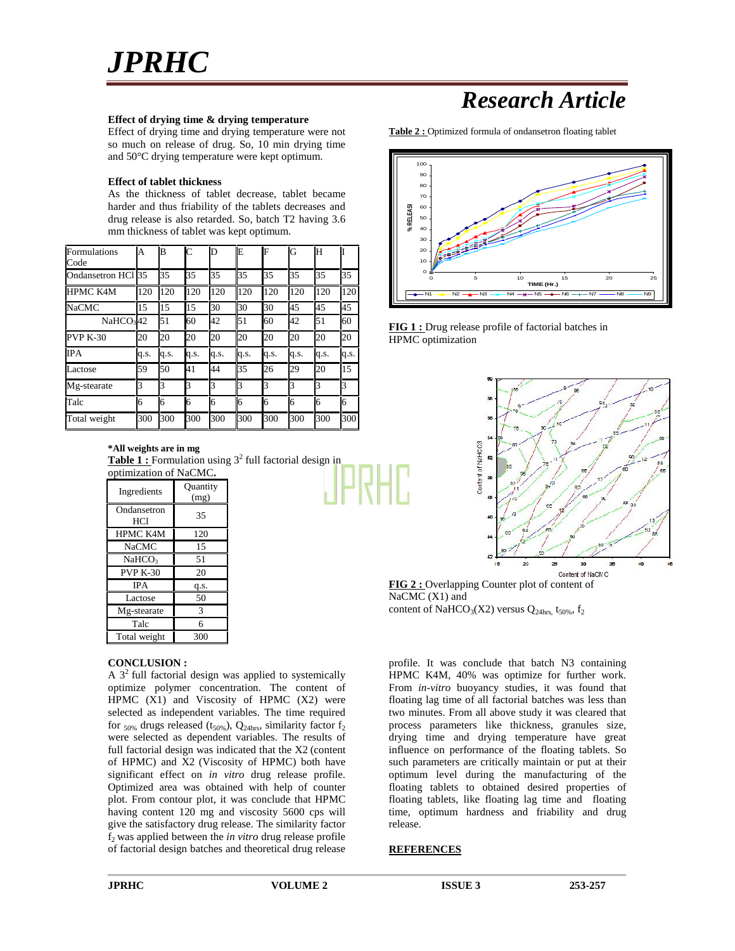

#### **Effect of drying time & drying temperature**

Effect of drying time and drying temperature were not so much on release of drug. So, 10 min drying time and 50°C drying temperature were kept optimum.

#### **Effect of tablet thickness**

As the thickness of tablet decrease, tablet became harder and thus friability of the tablets decreases and drug release is also retarded. So, batch T2 having 3.6 mm thickness of tablet was kept optimum.

| <b>Formulations</b><br>Code | A    | B    | $\mathsf{C}$ | D    | E    | F    | G    | Н    |      |
|-----------------------------|------|------|--------------|------|------|------|------|------|------|
| Ondansetron HCl 35          |      | 35   | 35           | 35   | 35   | 35   | 35   | 35   | 35   |
| <b>HPMC K4M</b>             | 120  | 120  | 120          | 120  | 120  | 120  | 120  | 120  | 120  |
| <b>NaCMC</b>                | 15   | 15   | 15           | 30   | 30   | 30   | 45   | 45   | 45   |
| NaHCO342                    |      | 51   | 60           | 42   | 51   | 60   | 42   | 51   | 60   |
| <b>PVP K-30</b>             | 20   | 20   | 20           | 20   | 20   | 20   | 20   | 20   | 20   |
| <b>IPA</b>                  | q.s. | q.s. | q.s.         | q.s. | q.s. | q.s. | q.s. | q.s. | q.s. |
| Lactose                     | 59   | 50   | 41           | 44   | 35   | 26   | 29   | 20   | 15   |
| Mg-stearate                 | 3    | k    | k            | 3    | 3    | 3    | 3    | 3    | R    |
| Talc                        | 6    | 16   | 16           | 6    | 6    | 6    | 6    | 6    | 16   |
| Total weight                | 300  | 300  | 300          | 300  | 300  | 300  | 300  | 300  | 300  |

**\*All weights are in mg Table 1:** Formulation using 3<sup>2</sup> full factorial design in optimization of NaCMC**.**

| Ingredients        | Quantity<br>(mg) |  |
|--------------------|------------------|--|
| Ondansetron<br>HC1 | 35               |  |
| HPMC K4M           | 120              |  |
| <b>NaCMC</b>       | 15               |  |
| NaHCO <sub>3</sub> | 51               |  |
| <b>PVP K-30</b>    | 20               |  |
| <b>IPA</b>         | q.s.             |  |
| Lactose            | 50               |  |
| Mg-stearate        | 3                |  |
| Talc               | 6                |  |
| Total weight       | 300              |  |

#### **CONCLUSION :**

A  $3<sup>2</sup>$  full factorial design was applied to systemically optimize polymer concentration. The content of HPMC (X1) and Viscosity of HPMC (X2) were selected as independent variables. The time required for  $_{50\%}$  drugs released (t<sub>50%</sub>), Q<sub>24hrs</sub>, similarity factor f<sub>2</sub> were selected as dependent variables. The results of full factorial design was indicated that the X2 (content of HPMC) and X2 (Viscosity of HPMC) both have significant effect on *in vitro* drug release profile. Optimized area was obtained with help of counter plot. From contour plot, it was conclude that HPMC having content 120 mg and viscosity 5600 cps will give the satisfactory drug release. The similarity factor f<sub>2</sub> was applied between the *in vitro* drug release profile of factorial design batches and theoretical drug release

### *Research Article*

**Table 2 :** Optimized formula of ondansetron floating tablet



**FIG 1 :** Drug release profile of factorial batches in HPMC optimization



**FIG 2 :** Overlapping Counter plot of content of NaCMC (X1) and content of NaHCO<sub>3</sub>(X2) versus Q<sub>24hrs,</sub> t<sub>50%</sub>, f<sub>2</sub>

profile. It was conclude that batch N3 containing HPMC K4M, 40% was optimize for further work. From *in-vitro* buoyancy studies, it was found that floating lag time of all factorial batches was less than two minutes. From all above study it was cleared that process parameters like thickness, granules size, drying time and drying temperature have great influence on performance of the floating tablets. So such parameters are critically maintain or put at their optimum level during the manufacturing of the floating tablets to obtained desired properties of floating tablets, like floating lag time and floating time, optimum hardness and friability and drug release.

#### **REFERENCES**